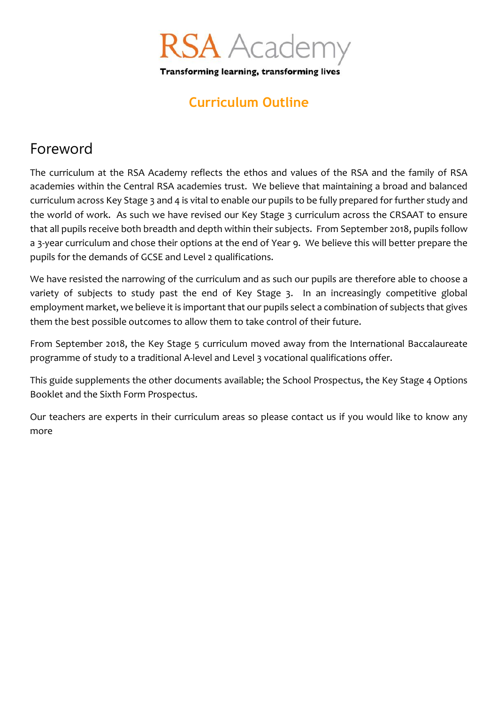

Transforming learning, transforming lives

### **Curriculum Outline**

## Foreword

The curriculum at the RSA Academy reflects the ethos and values of the RSA and the family of RSA academies within the Central RSA academies trust. We believe that maintaining a broad and balanced curriculum across Key Stage 3 and 4 is vital to enable our pupils to be fully prepared for further study and the world of work. As such we have revised our Key Stage 3 curriculum across the CRSAAT to ensure that all pupils receive both breadth and depth within their subjects. From September 2018, pupils follow a 3-year curriculum and chose their options at the end of Year 9. We believe this will better prepare the pupils for the demands of GCSE and Level 2 qualifications.

We have resisted the narrowing of the curriculum and as such our pupils are therefore able to choose a variety of subjects to study past the end of Key Stage 3. In an increasingly competitive global employment market, we believe it is important that our pupils select a combination of subjects that gives them the best possible outcomes to allow them to take control of their future.

From September 2018, the Key Stage 5 curriculum moved away from the International Baccalaureate programme of study to a traditional A-level and Level 3 vocational qualifications offer.

This guide supplements the other documents available; the School Prospectus, the Key Stage 4 Options Booklet and the Sixth Form Prospectus.

Our teachers are experts in their curriculum areas so please contact us if you would like to know any more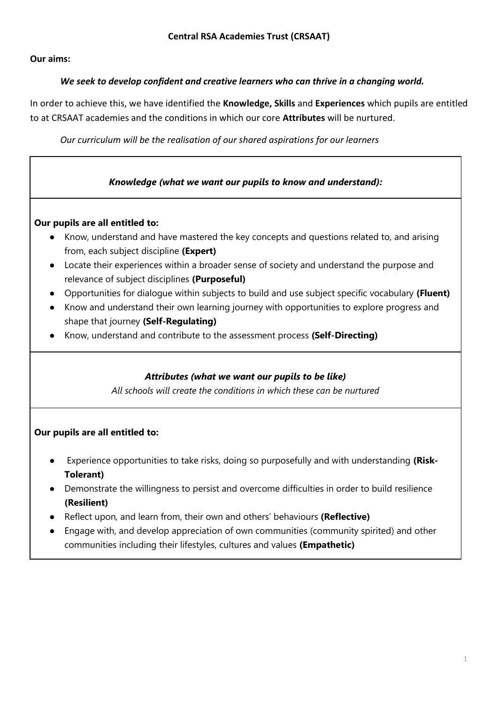**Our aims:**

#### *We seek to develop confident and creative learners who can thrive in a changing world.*

In order to achieve this, we have identified the **Knowledge, Skills** and **Experiences** which pupils are entitled to at CRSAAT academies and the conditions in which our core **Attributes** will be nurtured.

*Our curriculum will be the realisation of our shared aspirations for our learners*

#### *Knowledge (what we want our pupils to know and understand):*

#### **Our pupils are all entitled to:**

- Know, understand and have mastered the key concepts and questions related to, and arising from, each subject discipline **(Expert)**
- Locate their experiences within a broader sense of society and understand the purpose and relevance of subject disciplines **(Purposeful)**
- Opportunities for dialogue within subjects to build and use subject specific vocabulary **(Fluent)**
- Know and understand their own learning journey with opportunities to explore progress and shape that journey **(Self-Regulating)**
- Know, understand and contribute to the assessment process **(Self-Directing)**

#### *Attributes (what we want our pupils to be like)*

*All schools will create the conditions in which these can be nurtured*

#### **Our pupils are all entitled to:**

- Experience opportunities to take risks, doing so purposefully and with understanding **(Risk-Tolerant)**
- Demonstrate the willingness to persist and overcome difficulties in order to build resilience **(Resilient)**
- Reflect upon, and learn from, their own and others' behaviours **(Reflective)**
- Engage with, and develop appreciation of own communities (community spirited) and other communities including their lifestyles, cultures and values **(Empathetic)**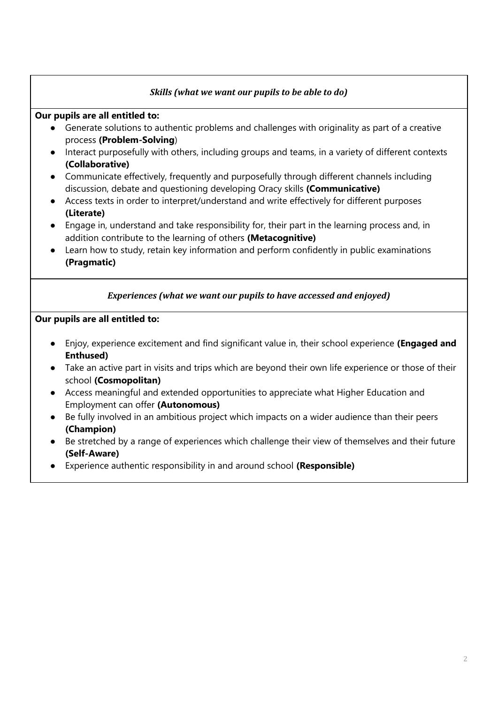#### *Skills (what we want our pupils to be able to do)*

#### **Our pupils are all entitled to:**

- Generate solutions to authentic problems and challenges with originality as part of a creative process **(Problem-Solving**)
- Interact purposefully with others, including groups and teams, in a variety of different contexts **(Collaborative)**
- Communicate effectively, frequently and purposefully through different channels including discussion, debate and questioning developing Oracy skills **(Communicative)**
- Access texts in order to interpret/understand and write effectively for different purposes **(Literate)**
- Engage in, understand and take responsibility for, their part in the learning process and, in addition contribute to the learning of others **(Metacognitive)**
- Learn how to study, retain key information and perform confidently in public examinations **(Pragmatic)**

#### *Experiences (what we want our pupils to have accessed and enjoyed)*

#### **Our pupils are all entitled to:**

- Enjoy, experience excitement and find significant value in, their school experience **(Engaged and Enthused)**
- Take an active part in visits and trips which are beyond their own life experience or those of their school **(Cosmopolitan)**
- Access meaningful and extended opportunities to appreciate what Higher Education and Employment can offer **(Autonomous)**
- Be fully involved in an ambitious project which impacts on a wider audience than their peers **(Champion)**
- Be stretched by a range of experiences which challenge their view of themselves and their future **(Self-Aware)**
- Experience authentic responsibility in and around school **(Responsible)**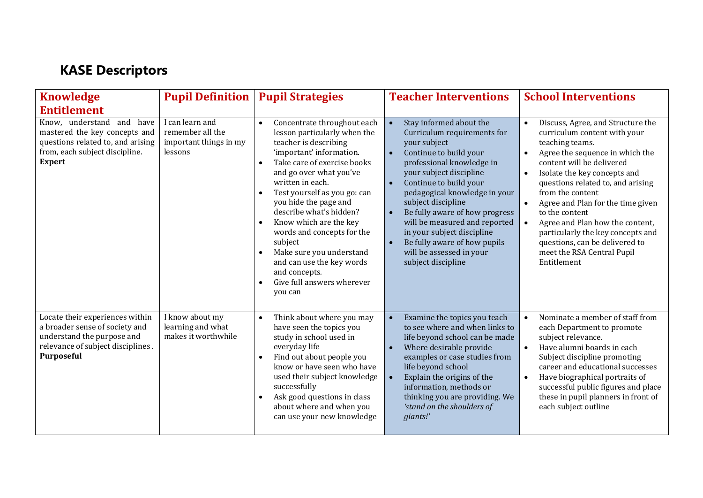# **KASE Descriptors**

| <b>Knowledge</b>                                                                                                                                      | <b>Pupil Definition</b>                                                  | <b>Pupil Strategies</b>                                                                                                                                                                                                                                                                                                                                                                                                                                                                                                      | <b>Teacher Interventions</b>                                                                                                                                                                                                                                                                                                                                                                                                                                                                  | <b>School Interventions</b>                                                                                                                                                                                                                                                                                                                                                                                                                                                                                                  |
|-------------------------------------------------------------------------------------------------------------------------------------------------------|--------------------------------------------------------------------------|------------------------------------------------------------------------------------------------------------------------------------------------------------------------------------------------------------------------------------------------------------------------------------------------------------------------------------------------------------------------------------------------------------------------------------------------------------------------------------------------------------------------------|-----------------------------------------------------------------------------------------------------------------------------------------------------------------------------------------------------------------------------------------------------------------------------------------------------------------------------------------------------------------------------------------------------------------------------------------------------------------------------------------------|------------------------------------------------------------------------------------------------------------------------------------------------------------------------------------------------------------------------------------------------------------------------------------------------------------------------------------------------------------------------------------------------------------------------------------------------------------------------------------------------------------------------------|
| <b>Entitlement</b>                                                                                                                                    |                                                                          |                                                                                                                                                                                                                                                                                                                                                                                                                                                                                                                              |                                                                                                                                                                                                                                                                                                                                                                                                                                                                                               |                                                                                                                                                                                                                                                                                                                                                                                                                                                                                                                              |
| Know, understand and<br>have<br>mastered the key concepts and<br>questions related to, and arising<br>from, each subject discipline.<br><b>Expert</b> | I can learn and<br>remember all the<br>important things in my<br>lessons | Concentrate throughout each<br>$\bullet$<br>lesson particularly when the<br>teacher is describing<br>'important' information.<br>Take care of exercise books<br>$\bullet$<br>and go over what you've<br>written in each.<br>Test yourself as you go: can<br>$\bullet$<br>you hide the page and<br>describe what's hidden?<br>Know which are the key<br>words and concepts for the<br>subject<br>Make sure you understand<br>$\bullet$<br>and can use the key words<br>and concepts.<br>Give full answers wherever<br>you can | Stay informed about the<br>$\bullet$<br>Curriculum requirements for<br>your subject<br>Continue to build your<br>$\bullet$<br>professional knowledge in<br>your subject discipline<br>Continue to build your<br>$\bullet$<br>pedagogical knowledge in your<br>subject discipline<br>Be fully aware of how progress<br>$\bullet$<br>will be measured and reported<br>in your subject discipline<br>Be fully aware of how pupils<br>$\bullet$<br>will be assessed in your<br>subject discipline | Discuss, Agree, and Structure the<br>$\bullet$<br>curriculum content with your<br>teaching teams.<br>Agree the sequence in which the<br>$\bullet$<br>content will be delivered<br>Isolate the key concepts and<br>$\bullet$<br>questions related to, and arising<br>from the content<br>Agree and Plan for the time given<br>$\bullet$<br>to the content<br>Agree and Plan how the content,<br>$\bullet$<br>particularly the key concepts and<br>questions, can be delivered to<br>meet the RSA Central Pupil<br>Entitlement |
| Locate their experiences within<br>a broader sense of society and<br>understand the purpose and<br>relevance of subject disciplines.<br>Purposeful    | I know about my<br>learning and what<br>makes it worthwhile              | Think about where you may<br>$\bullet$<br>have seen the topics you<br>study in school used in<br>everyday life<br>Find out about people you<br>$\bullet$<br>know or have seen who have<br>used their subject knowledge<br>successfully<br>Ask good questions in class<br>$\bullet$<br>about where and when you<br>can use your new knowledge                                                                                                                                                                                 | Examine the topics you teach<br>$\bullet$<br>to see where and when links to<br>life beyond school can be made<br>Where desirable provide<br>$\bullet$<br>examples or case studies from<br>life beyond school<br>Explain the origins of the<br>$\bullet$<br>information, methods or<br>thinking you are providing. We<br>'stand on the shoulders of<br>giants!'                                                                                                                                | Nominate a member of staff from<br>$\bullet$<br>each Department to promote<br>subject relevance.<br>Have alumni boards in each<br>$\bullet$<br>Subject discipline promoting<br>career and educational successes<br>Have biographical portraits of<br>$\bullet$<br>successful public figures and place<br>these in pupil planners in front of<br>each subject outline                                                                                                                                                         |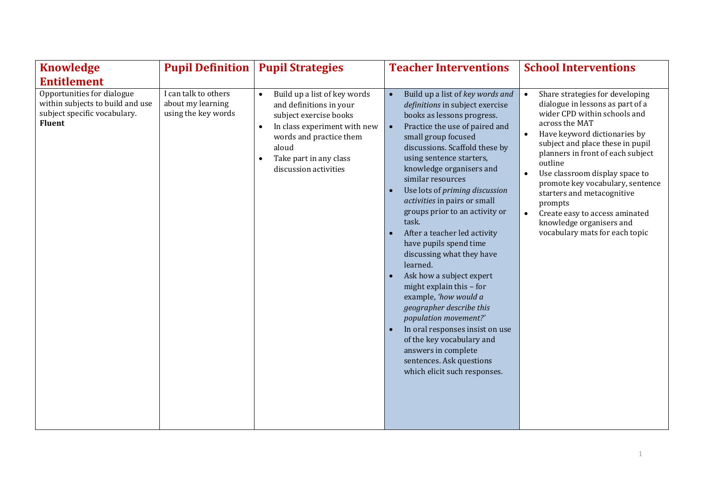| <b>Knowledge</b>                                                                                                | <b>Pupil Definition</b>                                          | <b>Pupil Strategies</b>                                                                                                                                                                                                                         | <b>Teacher Interventions</b>                                                                                                                                                                                                                                                                                                                                                                                                                                                                                                                                                                                                                                                                                                                                                                                              | <b>School Interventions</b>                                                                                                                                                                                                                                                                                                                                                                                                                                                                     |
|-----------------------------------------------------------------------------------------------------------------|------------------------------------------------------------------|-------------------------------------------------------------------------------------------------------------------------------------------------------------------------------------------------------------------------------------------------|---------------------------------------------------------------------------------------------------------------------------------------------------------------------------------------------------------------------------------------------------------------------------------------------------------------------------------------------------------------------------------------------------------------------------------------------------------------------------------------------------------------------------------------------------------------------------------------------------------------------------------------------------------------------------------------------------------------------------------------------------------------------------------------------------------------------------|-------------------------------------------------------------------------------------------------------------------------------------------------------------------------------------------------------------------------------------------------------------------------------------------------------------------------------------------------------------------------------------------------------------------------------------------------------------------------------------------------|
| <b>Entitlement</b>                                                                                              |                                                                  |                                                                                                                                                                                                                                                 |                                                                                                                                                                                                                                                                                                                                                                                                                                                                                                                                                                                                                                                                                                                                                                                                                           |                                                                                                                                                                                                                                                                                                                                                                                                                                                                                                 |
| Opportunities for dialogue<br>within subjects to build and use<br>subject specific vocabulary.<br><b>Fluent</b> | I can talk to others<br>about my learning<br>using the key words | Build up a list of key words<br>$\bullet$<br>and definitions in your<br>subject exercise books<br>In class experiment with new<br>$\bullet$<br>words and practice them<br>aloud<br>Take part in any class<br>$\bullet$<br>discussion activities | Build up a list of key words and<br>definitions in subject exercise<br>books as lessons progress.<br>Practice the use of paired and<br>small group focused<br>discussions. Scaffold these by<br>using sentence starters,<br>knowledge organisers and<br>similar resources<br>Use lots of priming discussion<br>$\bullet$<br>activities in pairs or small<br>groups prior to an activity or<br>task.<br>After a teacher led activity<br>have pupils spend time<br>discussing what they have<br>learned.<br>Ask how a subject expert<br>$\bullet$<br>might explain this - for<br>example, 'how would a<br>geographer describe this<br>population movement?'<br>In oral responses insist on use<br>$\bullet$<br>of the key vocabulary and<br>answers in complete<br>sentences. Ask questions<br>which elicit such responses. | Share strategies for developing<br>$\bullet$<br>dialogue in lessons as part of a<br>wider CPD within schools and<br>across the MAT<br>Have keyword dictionaries by<br>subject and place these in pupil<br>planners in front of each subject<br>outline<br>Use classroom display space to<br>$\bullet$<br>promote key vocabulary, sentence<br>starters and metacognitive<br>prompts<br>Create easy to access aminated<br>$\bullet$<br>knowledge organisers and<br>vocabulary mats for each topic |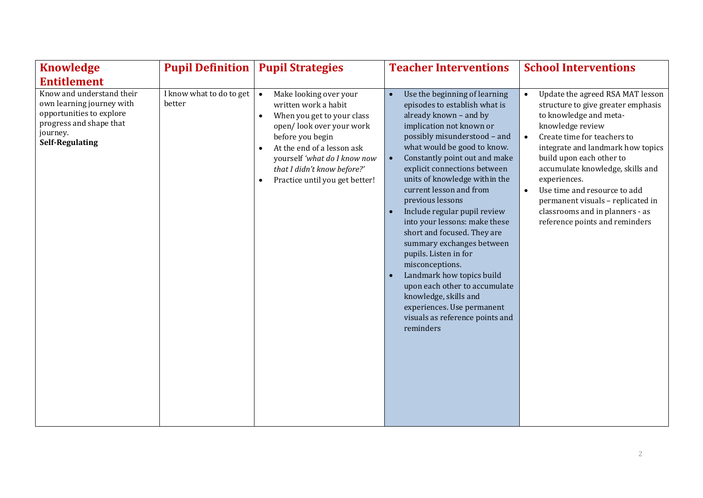| <b>Knowledge</b>                                                                                                                                    | <b>Pupil Definition</b>            | <b>Pupil Strategies</b>                                                                                                                                                                                                                                                                                         | <b>Teacher Interventions</b>                                                                                                                                                                                                                                                                                                                                                                                                                                                                                                                                                                                                                                                       | <b>School Interventions</b>                                                                                                                                                                                                                                                                                                                                                                                                     |
|-----------------------------------------------------------------------------------------------------------------------------------------------------|------------------------------------|-----------------------------------------------------------------------------------------------------------------------------------------------------------------------------------------------------------------------------------------------------------------------------------------------------------------|------------------------------------------------------------------------------------------------------------------------------------------------------------------------------------------------------------------------------------------------------------------------------------------------------------------------------------------------------------------------------------------------------------------------------------------------------------------------------------------------------------------------------------------------------------------------------------------------------------------------------------------------------------------------------------|---------------------------------------------------------------------------------------------------------------------------------------------------------------------------------------------------------------------------------------------------------------------------------------------------------------------------------------------------------------------------------------------------------------------------------|
| <b>Entitlement</b>                                                                                                                                  |                                    |                                                                                                                                                                                                                                                                                                                 |                                                                                                                                                                                                                                                                                                                                                                                                                                                                                                                                                                                                                                                                                    |                                                                                                                                                                                                                                                                                                                                                                                                                                 |
| Know and understand their<br>own learning journey with<br>opportunities to explore<br>progress and shape that<br>journey.<br><b>Self-Regulating</b> | I know what to do to get<br>better | Make looking over your<br>$\bullet$<br>written work a habit<br>When you get to your class<br>$\bullet$<br>open/look over your work<br>before you begin<br>At the end of a lesson ask<br>$\bullet$<br>yourself 'what do I know now<br>that I didn't know before?'<br>Practice until you get better!<br>$\bullet$ | Use the beginning of learning<br>episodes to establish what is<br>already known - and by<br>implication not known or<br>possibly misunderstood - and<br>what would be good to know.<br>Constantly point out and make<br>explicit connections between<br>units of knowledge within the<br>current lesson and from<br>previous lessons<br>Include regular pupil review<br>into your lessons: make these<br>short and focused. They are<br>summary exchanges between<br>pupils. Listen in for<br>misconceptions.<br>Landmark how topics build<br>upon each other to accumulate<br>knowledge, skills and<br>experiences. Use permanent<br>visuals as reference points and<br>reminders | Update the agreed RSA MAT lesson<br>structure to give greater emphasis<br>to knowledge and meta-<br>knowledge review<br>Create time for teachers to<br>integrate and landmark how topics<br>build upon each other to<br>accumulate knowledge, skills and<br>experiences.<br>Use time and resource to add<br>$\bullet$<br>permanent visuals - replicated in<br>classrooms and in planners - as<br>reference points and reminders |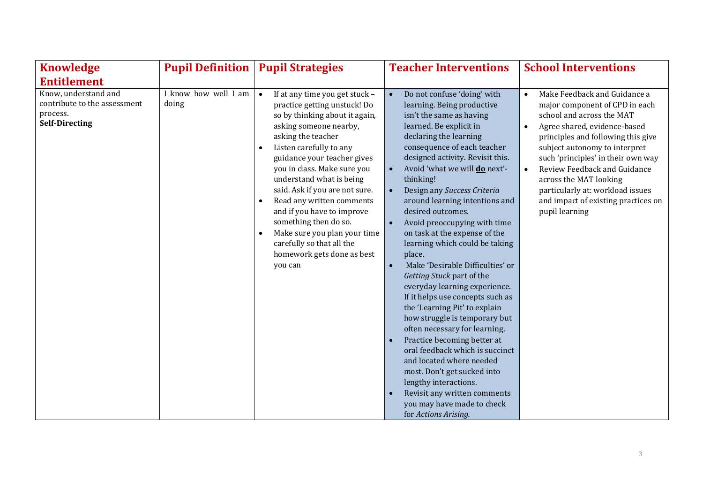| <b>Knowledge</b>                                                                          | <b>Pupil Definition</b>       | <b>Pupil Strategies</b>                                                                                                                                                                                                                                                                                                                                                                                                                                                                                                                  | <b>Teacher Interventions</b>                                                                                                                                                                                                                                                                                                                                                                                                                                                                                                                                                                                                                                                                                                                                                                                                                                                                                                                                            | <b>School Interventions</b>                                                                                                                                                                                                                                                                                                                                                                     |
|-------------------------------------------------------------------------------------------|-------------------------------|------------------------------------------------------------------------------------------------------------------------------------------------------------------------------------------------------------------------------------------------------------------------------------------------------------------------------------------------------------------------------------------------------------------------------------------------------------------------------------------------------------------------------------------|-------------------------------------------------------------------------------------------------------------------------------------------------------------------------------------------------------------------------------------------------------------------------------------------------------------------------------------------------------------------------------------------------------------------------------------------------------------------------------------------------------------------------------------------------------------------------------------------------------------------------------------------------------------------------------------------------------------------------------------------------------------------------------------------------------------------------------------------------------------------------------------------------------------------------------------------------------------------------|-------------------------------------------------------------------------------------------------------------------------------------------------------------------------------------------------------------------------------------------------------------------------------------------------------------------------------------------------------------------------------------------------|
| <b>Entitlement</b>                                                                        |                               |                                                                                                                                                                                                                                                                                                                                                                                                                                                                                                                                          |                                                                                                                                                                                                                                                                                                                                                                                                                                                                                                                                                                                                                                                                                                                                                                                                                                                                                                                                                                         |                                                                                                                                                                                                                                                                                                                                                                                                 |
| Know, understand and<br>contribute to the assessment<br>process.<br><b>Self-Directing</b> | I know how well I am<br>doing | $\bullet$<br>If at any time you get stuck -<br>practice getting unstuck! Do<br>so by thinking about it again,<br>asking someone nearby,<br>asking the teacher<br>Listen carefully to any<br>$\bullet$<br>guidance your teacher gives<br>you in class. Make sure you<br>understand what is being<br>said. Ask if you are not sure.<br>Read any written comments<br>$\bullet$<br>and if you have to improve<br>something then do so.<br>Make sure you plan your time<br>carefully so that all the<br>homework gets done as best<br>you can | Do not confuse 'doing' with<br>learning. Being productive<br>isn't the same as having<br>learned. Be explicit in<br>declaring the learning<br>consequence of each teacher<br>designed activity. Revisit this.<br>Avoid 'what we will <b>do</b> next'-<br>thinking!<br>Design any Success Criteria<br>around learning intentions and<br>desired outcomes.<br>Avoid preoccupying with time<br>$\bullet$<br>on task at the expense of the<br>learning which could be taking<br>place.<br>Make 'Desirable Difficulties' or<br>Getting Stuck part of the<br>everyday learning experience.<br>If it helps use concepts such as<br>the 'Learning Pit' to explain<br>how struggle is temporary but<br>often necessary for learning.<br>Practice becoming better at<br>oral feedback which is succinct<br>and located where needed<br>most. Don't get sucked into<br>lengthy interactions.<br>Revisit any written comments<br>you may have made to check<br>for Actions Arising. | Make Feedback and Guidance a<br>major component of CPD in each<br>school and across the MAT<br>Agree shared, evidence-based<br>principles and following this give<br>subject autonomy to interpret<br>such 'principles' in their own way<br>Review Feedback and Guidance<br>across the MAT looking<br>particularly at: workload issues<br>and impact of existing practices on<br>pupil learning |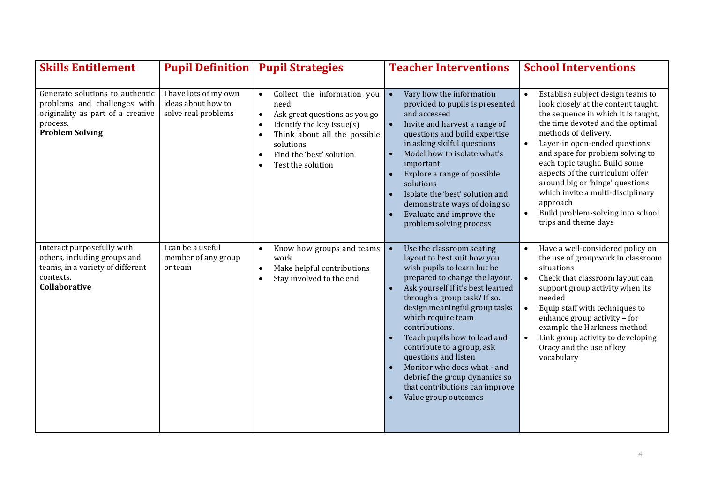| <b>Skills Entitlement</b>                                                                                                                  | <b>Pupil Definition</b>                                            | <b>Pupil Strategies</b>                                                                                                                                                                                                                                                       | <b>Teacher Interventions</b>                                                                                                                                                                                                                                                                                                                                                                                                                                                                         | <b>School Interventions</b>                                                                                                                                                                                                                                                                                                                                                                                                                                                                                  |
|--------------------------------------------------------------------------------------------------------------------------------------------|--------------------------------------------------------------------|-------------------------------------------------------------------------------------------------------------------------------------------------------------------------------------------------------------------------------------------------------------------------------|------------------------------------------------------------------------------------------------------------------------------------------------------------------------------------------------------------------------------------------------------------------------------------------------------------------------------------------------------------------------------------------------------------------------------------------------------------------------------------------------------|--------------------------------------------------------------------------------------------------------------------------------------------------------------------------------------------------------------------------------------------------------------------------------------------------------------------------------------------------------------------------------------------------------------------------------------------------------------------------------------------------------------|
| Generate solutions to authentic<br>problems and challenges with<br>originality as part of a creative<br>process.<br><b>Problem Solving</b> | I have lots of my own<br>ideas about how to<br>solve real problems | Collect the information you<br>$\bullet$<br>need<br>Ask great questions as you go<br>$\bullet$<br>Identify the key issue(s)<br>$\bullet$<br>Think about all the possible<br>$\bullet$<br>solutions<br>Find the 'best' solution<br>$\bullet$<br>Test the solution<br>$\bullet$ | Vary how the information<br>$\bullet$<br>provided to pupils is presented<br>and accessed<br>Invite and harvest a range of<br>$\bullet$<br>questions and build expertise<br>in asking skilful questions<br>Model how to isolate what's<br>$\bullet$<br>important<br>Explore a range of possible<br>solutions<br>Isolate the 'best' solution and<br>demonstrate ways of doing so<br>Evaluate and improve the<br>problem solving process                                                                | Establish subject design teams to<br>$\bullet$<br>look closely at the content taught,<br>the sequence in which it is taught,<br>the time devoted and the optimal<br>methods of delivery.<br>Layer-in open-ended questions<br>$\bullet$<br>and space for problem solving to<br>each topic taught. Build some<br>aspects of the curriculum offer<br>around big or 'hinge' questions<br>which invite a multi-disciplinary<br>approach<br>Build problem-solving into school<br>$\bullet$<br>trips and theme days |
| Interact purposefully with<br>others, including groups and<br>teams, in a variety of different<br>contexts.<br>Collaborative               | I can be a useful<br>member of any group<br>or team                | Know how groups and teams<br>$\bullet$<br>work<br>Make helpful contributions<br>$\bullet$<br>Stay involved to the end<br>$\bullet$                                                                                                                                            | Use the classroom seating<br>$\bullet$<br>layout to best suit how you<br>wish pupils to learn but be<br>prepared to change the layout.<br>Ask yourself if it's best learned<br>through a group task? If so.<br>design meaningful group tasks<br>which require team<br>contributions.<br>Teach pupils how to lead and<br>contribute to a group, ask<br>questions and listen<br>Monitor who does what - and<br>debrief the group dynamics so<br>that contributions can improve<br>Value group outcomes | Have a well-considered policy on<br>$\bullet$<br>the use of groupwork in classroom<br>situations<br>Check that classroom layout can<br>$\bullet$<br>support group activity when its<br>needed<br>Equip staff with techniques to<br>$\bullet$<br>enhance group activity - for<br>example the Harkness method<br>Link group activity to developing<br>$\bullet$<br>Oracy and the use of key<br>vocabulary                                                                                                      |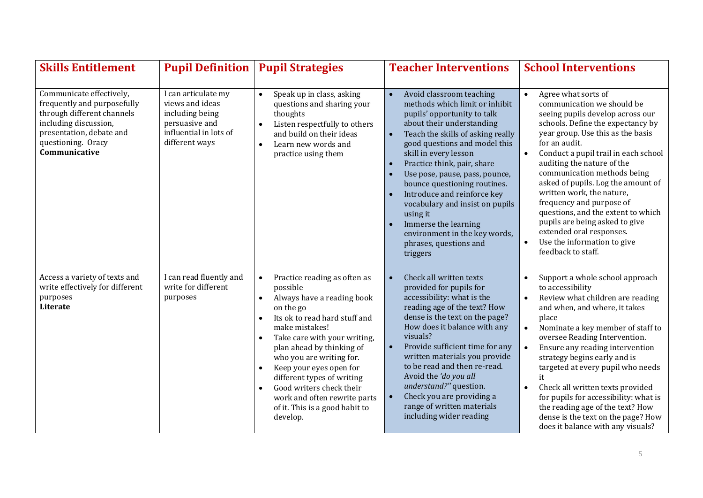| <b>Skills Entitlement</b>                                                                                                                                                         | <b>Pupil Definition</b>                                                                                                 | <b>Pupil Strategies</b>                                                                                                                                                                                                                                                                                                                                                                                                                                                          | <b>Teacher Interventions</b>                                                                                                                                                                                                                                                                                                                                                                                                                                                                                                               | <b>School Interventions</b>                                                                                                                                                                                                                                                                                                                                                                                                                                                                                                                                                          |
|-----------------------------------------------------------------------------------------------------------------------------------------------------------------------------------|-------------------------------------------------------------------------------------------------------------------------|----------------------------------------------------------------------------------------------------------------------------------------------------------------------------------------------------------------------------------------------------------------------------------------------------------------------------------------------------------------------------------------------------------------------------------------------------------------------------------|--------------------------------------------------------------------------------------------------------------------------------------------------------------------------------------------------------------------------------------------------------------------------------------------------------------------------------------------------------------------------------------------------------------------------------------------------------------------------------------------------------------------------------------------|--------------------------------------------------------------------------------------------------------------------------------------------------------------------------------------------------------------------------------------------------------------------------------------------------------------------------------------------------------------------------------------------------------------------------------------------------------------------------------------------------------------------------------------------------------------------------------------|
| Communicate effectively,<br>frequently and purposefully<br>through different channels<br>including discussion,<br>presentation, debate and<br>questioning. Oracy<br>Communicative | I can articulate my<br>views and ideas<br>including being<br>persuasive and<br>influential in lots of<br>different ways | Speak up in class, asking<br>$\bullet$<br>questions and sharing your<br>thoughts<br>Listen respectfully to others<br>$\bullet$<br>and build on their ideas<br>Learn new words and<br>$\bullet$<br>practice using them                                                                                                                                                                                                                                                            | Avoid classroom teaching<br>$\bullet$<br>methods which limit or inhibit<br>pupils' opportunity to talk<br>about their understanding<br>Teach the skills of asking really<br>$\bullet$<br>good questions and model this<br>skill in every lesson<br>Practice think, pair, share<br>$\bullet$<br>Use pose, pause, pass, pounce,<br>bounce questioning routines.<br>Introduce and reinforce key<br>vocabulary and insist on pupils<br>using it<br>Immerse the learning<br>environment in the key words,<br>phrases, questions and<br>triggers | Agree what sorts of<br>$\bullet$<br>communication we should be<br>seeing pupils develop across our<br>schools. Define the expectancy by<br>year group. Use this as the basis<br>for an audit.<br>Conduct a pupil trail in each school<br>$\bullet$<br>auditing the nature of the<br>communication methods being<br>asked of pupils. Log the amount of<br>written work, the nature,<br>frequency and purpose of<br>questions, and the extent to which<br>pupils are being asked to give<br>extended oral responses.<br>Use the information to give<br>$\bullet$<br>feedback to staff. |
| Access a variety of texts and<br>write effectively for different<br>purposes<br>Literate                                                                                          | I can read fluently and<br>write for different<br>purposes                                                              | Practice reading as often as<br>$\bullet$<br>possible<br>Always have a reading book<br>$\bullet$<br>on the go<br>Its ok to read hard stuff and<br>$\bullet$<br>make mistakes!<br>Take care with your writing,<br>$\bullet$<br>plan ahead by thinking of<br>who you are writing for.<br>Keep your eyes open for<br>$\bullet$<br>different types of writing<br>Good writers check their<br>$\bullet$<br>work and often rewrite parts<br>of it. This is a good habit to<br>develop. | Check all written texts<br>$\bullet$<br>provided for pupils for<br>accessibility: what is the<br>reading age of the text? How<br>dense is the text on the page?<br>How does it balance with any<br>visuals?<br>Provide sufficient time for any<br>$\bullet$<br>written materials you provide<br>to be read and then re-read.<br>Avoid the 'do you all<br>understand?" question.<br>Check you are providing a<br>$\bullet$<br>range of written materials<br>including wider reading                                                         | Support a whole school approach<br>$\bullet$<br>to accessibility<br>Review what children are reading<br>$\bullet$<br>and when, and where, it takes<br>place<br>Nominate a key member of staff to<br>$\bullet$<br>oversee Reading Intervention.<br>Ensure any reading intervention<br>$\bullet$<br>strategy begins early and is<br>targeted at every pupil who needs<br>it<br>Check all written texts provided<br>$\bullet$<br>for pupils for accessibility: what is<br>the reading age of the text? How<br>dense is the text on the page? How<br>does it balance with any visuals?   |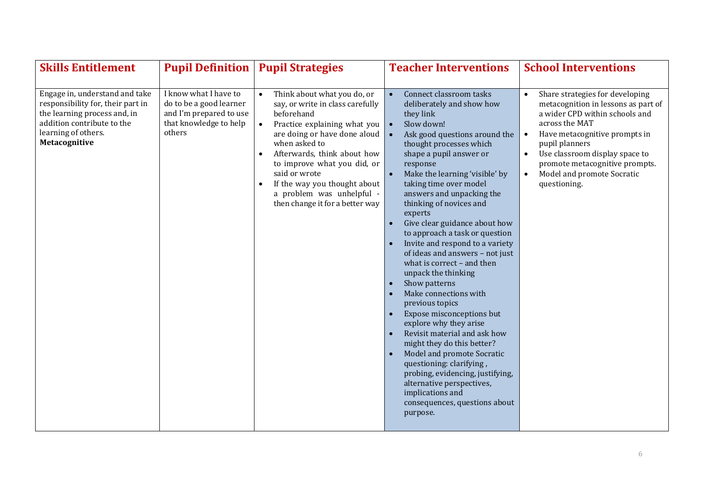| <b>Skills Entitlement</b>                                                                                                                                                 |                                                                                                                 | <b>Pupil Definition   Pupil Strategies</b>                                                                                                                                                                                                                                                                                                                                                                                       | <b>Teacher Interventions</b>                                                                                                                                                                                                                                                                                                                                                                                                                                                                                                                                                                                                                                                                                                                                                                                                                                                                               | <b>School Interventions</b>                                                                                                                                                                                                                                                                                  |
|---------------------------------------------------------------------------------------------------------------------------------------------------------------------------|-----------------------------------------------------------------------------------------------------------------|----------------------------------------------------------------------------------------------------------------------------------------------------------------------------------------------------------------------------------------------------------------------------------------------------------------------------------------------------------------------------------------------------------------------------------|------------------------------------------------------------------------------------------------------------------------------------------------------------------------------------------------------------------------------------------------------------------------------------------------------------------------------------------------------------------------------------------------------------------------------------------------------------------------------------------------------------------------------------------------------------------------------------------------------------------------------------------------------------------------------------------------------------------------------------------------------------------------------------------------------------------------------------------------------------------------------------------------------------|--------------------------------------------------------------------------------------------------------------------------------------------------------------------------------------------------------------------------------------------------------------------------------------------------------------|
| Engage in, understand and take<br>responsibility for, their part in<br>the learning process and, in<br>addition contribute to the<br>learning of others.<br>Metacognitive | I know what I have to<br>do to be a good learner<br>and I'm prepared to use<br>that knowledge to help<br>others | Think about what you do, or<br>$\bullet$<br>say, or write in class carefully<br>beforehand<br>Practice explaining what you $\vert \bullet \vert$<br>$\bullet$<br>are doing or have done aloud $\vert \bullet \vert$<br>when asked to<br>Afterwards, think about how<br>$\bullet$<br>to improve what you did, or<br>said or wrote<br>If the way you thought about<br>a problem was unhelpful -<br>then change it for a better way | Connect classroom tasks<br>$\bullet$<br>deliberately and show how<br>they link<br>Slow down!<br>Ask good questions around the<br>thought processes which<br>shape a pupil answer or<br>response<br>Make the learning 'visible' by<br>taking time over model<br>answers and unpacking the<br>thinking of novices and<br>experts<br>Give clear guidance about how<br>to approach a task or question<br>Invite and respond to a variety<br>of ideas and answers - not just<br>what is correct - and then<br>unpack the thinking<br>Show patterns<br>Make connections with<br>previous topics<br>Expose misconceptions but<br>explore why they arise<br>Revisit material and ask how<br>might they do this better?<br>Model and promote Socratic<br>questioning: clarifying,<br>probing, evidencing, justifying,<br>alternative perspectives,<br>implications and<br>consequences, questions about<br>purpose. | Share strategies for developing<br>metacognition in lessons as part of<br>a wider CPD within schools and<br>across the MAT<br>Have metacognitive prompts in<br>pupil planners<br>Use classroom display space to<br>$\bullet$<br>promote metacognitive prompts.<br>Model and promote Socratic<br>questioning. |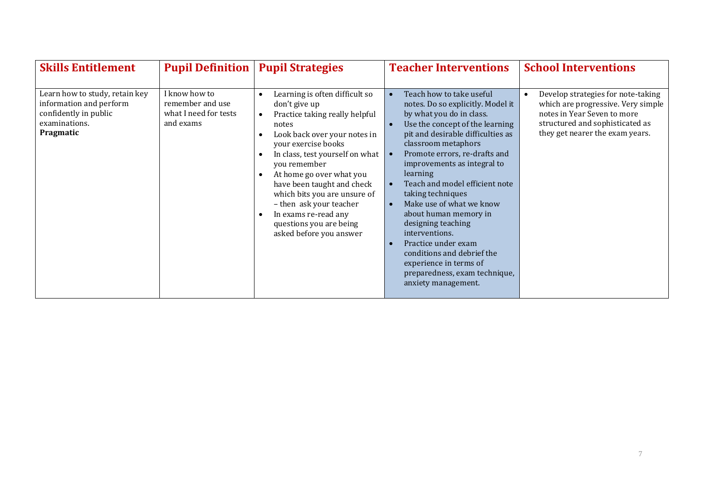| <b>Skills Entitlement</b>                                                                                        | <b>Pupil Definition   Pupil Strategies</b>                              |                                                                                                                                                                                                                                                                                                                                                                                                                                 | <b>Teacher Interventions</b>                                                                                                                                                                                                                                                                                                                                                     | <b>School Interventions</b>                                                                                                                                                   |
|------------------------------------------------------------------------------------------------------------------|-------------------------------------------------------------------------|---------------------------------------------------------------------------------------------------------------------------------------------------------------------------------------------------------------------------------------------------------------------------------------------------------------------------------------------------------------------------------------------------------------------------------|----------------------------------------------------------------------------------------------------------------------------------------------------------------------------------------------------------------------------------------------------------------------------------------------------------------------------------------------------------------------------------|-------------------------------------------------------------------------------------------------------------------------------------------------------------------------------|
| Learn how to study, retain key<br>information and perform<br>confidently in public<br>examinations.<br>Pragmatic | I know how to<br>remember and use<br>what I need for tests<br>and exams | Learning is often difficult so<br>$\bullet$<br>don't give up<br>Practice taking really helpful<br>$\bullet$<br>notes<br>Look back over your notes in<br>$\bullet$<br>your exercise books<br>In class, test yourself on what<br>$\bullet$<br>you remember<br>At home go over what you<br>$\bullet$<br>have been taught and check<br>which bits you are unsure of<br>- then ask your teacher<br>In exams re-read any<br>$\bullet$ | Teach how to take useful<br>notes. Do so explicitly. Model it<br>by what you do in class.<br>Use the concept of the learning<br>pit and desirable difficulties as<br>classroom metaphors<br>Promote errors, re-drafts and<br>improvements as integral to<br>learning<br>Teach and model efficient note<br>taking techniques<br>Make use of what we know<br>about human memory in | Develop strategies for note-taking<br>which are progressive. Very simple<br>notes in Year Seven to more<br>structured and sophisticated as<br>they get nearer the exam years. |
|                                                                                                                  |                                                                         | questions you are being<br>asked before you answer                                                                                                                                                                                                                                                                                                                                                                              | designing teaching<br>interventions.<br>Practice under exam<br>conditions and debrief the<br>experience in terms of<br>preparedness, exam technique,<br>anxiety management.                                                                                                                                                                                                      |                                                                                                                                                                               |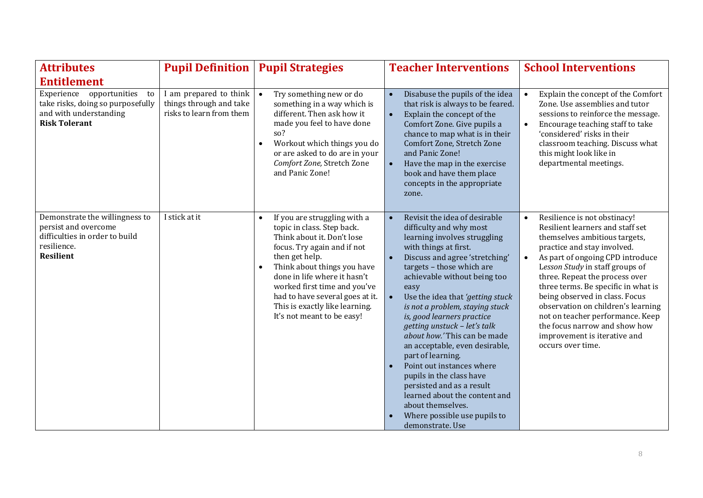| <b>Attributes</b>                                                                                                           | <b>Pupil Definition</b>                                                                             | <b>Pupil Strategies</b>                                                                                                                                                                                                                                                                                                                                               | <b>Teacher Interventions</b>                                                                                                                                                                                                                                                                                                                                                                                                                                                                                                                                                                                                                                                   | <b>School Interventions</b>                                                                                                                                                                                                                                                                                                                                                                                                                                                                     |
|-----------------------------------------------------------------------------------------------------------------------------|-----------------------------------------------------------------------------------------------------|-----------------------------------------------------------------------------------------------------------------------------------------------------------------------------------------------------------------------------------------------------------------------------------------------------------------------------------------------------------------------|--------------------------------------------------------------------------------------------------------------------------------------------------------------------------------------------------------------------------------------------------------------------------------------------------------------------------------------------------------------------------------------------------------------------------------------------------------------------------------------------------------------------------------------------------------------------------------------------------------------------------------------------------------------------------------|-------------------------------------------------------------------------------------------------------------------------------------------------------------------------------------------------------------------------------------------------------------------------------------------------------------------------------------------------------------------------------------------------------------------------------------------------------------------------------------------------|
| <b>Entitlement</b>                                                                                                          |                                                                                                     |                                                                                                                                                                                                                                                                                                                                                                       |                                                                                                                                                                                                                                                                                                                                                                                                                                                                                                                                                                                                                                                                                |                                                                                                                                                                                                                                                                                                                                                                                                                                                                                                 |
| Experience opportunities<br>to<br>take risks, doing so purposefully<br>and with understanding<br><b>Risk Tolerant</b>       | I am prepared to think $\vert \bullet \vert$<br>things through and take<br>risks to learn from them | Try something new or do<br>something in a way which is<br>different. Then ask how it<br>made you feel to have done<br>so?<br>Workout which things you do<br>$\bullet$<br>or are asked to do are in your<br>Comfort Zone, Stretch Zone<br>and Panic Zone!                                                                                                              | Disabuse the pupils of the idea<br>$\bullet$<br>that risk is always to be feared.<br>Explain the concept of the<br>Comfort Zone. Give pupils a<br>chance to map what is in their<br>Comfort Zone, Stretch Zone<br>and Panic Zone!<br>Have the map in the exercise<br>book and have them place<br>concepts in the appropriate<br>zone.                                                                                                                                                                                                                                                                                                                                          | Explain the concept of the Comfort<br>Zone. Use assemblies and tutor<br>sessions to reinforce the message.<br>Encourage teaching staff to take<br>'considered' risks in their<br>classroom teaching. Discuss what<br>this might look like in<br>departmental meetings.                                                                                                                                                                                                                          |
| Demonstrate the willingness to<br>persist and overcome<br>difficulties in order to build<br>resilience.<br><b>Resilient</b> | I stick at it                                                                                       | If you are struggling with a<br>$\bullet$<br>topic in class. Step back.<br>Think about it. Don't lose<br>focus. Try again and if not<br>then get help.<br>Think about things you have<br>$\bullet$<br>done in life where it hasn't<br>worked first time and you've<br>had to have several goes at it.<br>This is exactly like learning.<br>It's not meant to be easy! | Revisit the idea of desirable<br>$\bullet$<br>difficulty and why most<br>learning involves struggling<br>with things at first.<br>Discuss and agree 'stretching'<br>targets - those which are<br>achievable without being too<br>easy<br>Use the idea that 'getting stuck<br>$\bullet$<br>is not a problem, staying stuck<br>is, good learners practice<br>getting unstuck - let's talk<br>about how.' This can be made<br>an acceptable, even desirable,<br>part of learning.<br>Point out instances where<br>pupils in the class have<br>persisted and as a result<br>learned about the content and<br>about themselves.<br>Where possible use pupils to<br>demonstrate. Use | Resilience is not obstinacy!<br>$\bullet$<br>Resilient learners and staff set<br>themselves ambitious targets,<br>practice and stay involved.<br>As part of ongoing CPD introduce<br>Lesson Study in staff groups of<br>three. Repeat the process over<br>three terms. Be specific in what is<br>being observed in class. Focus<br>observation on children's learning<br>not on teacher performance. Keep<br>the focus narrow and show how<br>improvement is iterative and<br>occurs over time. |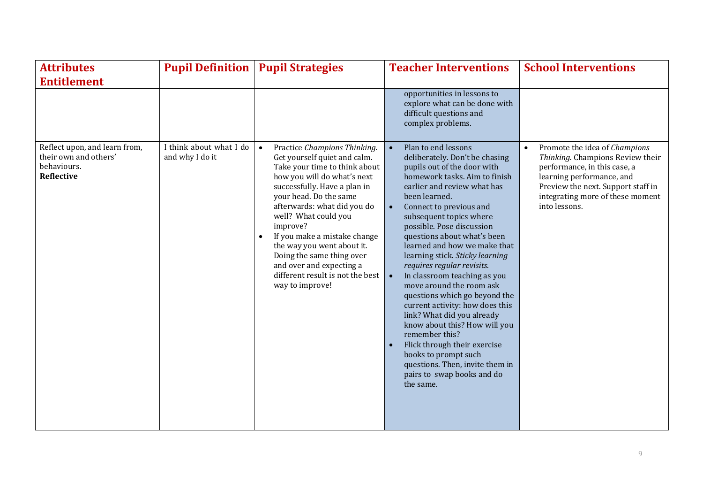| <b>Attributes</b>                                                                           | <b>Pupil Definition</b>                    | <b>Pupil Strategies</b>                                                                                                                                                                                                                                                                                                                             | <b>Teacher Interventions</b>                                                                                                                                                                                                                                                                                                                                                                                                                                                                                                                                                                                                                            | <b>School Interventions</b>                                                                                          |
|---------------------------------------------------------------------------------------------|--------------------------------------------|-----------------------------------------------------------------------------------------------------------------------------------------------------------------------------------------------------------------------------------------------------------------------------------------------------------------------------------------------------|---------------------------------------------------------------------------------------------------------------------------------------------------------------------------------------------------------------------------------------------------------------------------------------------------------------------------------------------------------------------------------------------------------------------------------------------------------------------------------------------------------------------------------------------------------------------------------------------------------------------------------------------------------|----------------------------------------------------------------------------------------------------------------------|
| <b>Entitlement</b><br>Reflect upon, and learn from,<br>their own and others'<br>behaviours. | I think about what I do<br>and why I do it | Practice Champions Thinking.<br>$\bullet$<br>Get yourself quiet and calm.<br>Take your time to think about                                                                                                                                                                                                                                          | opportunities in lessons to<br>explore what can be done with<br>difficult questions and<br>complex problems.<br>Plan to end lessons<br>deliberately. Don't be chasing<br>pupils out of the door with                                                                                                                                                                                                                                                                                                                                                                                                                                                    | Promote the idea of Champions<br>$\bullet$<br>Thinking. Champions Review their<br>performance, in this case, a       |
| Reflective                                                                                  |                                            | how you will do what's next<br>successfully. Have a plan in<br>your head. Do the same<br>afterwards: what did you do<br>well? What could you<br>improve?<br>If you make a mistake change<br>$\bullet$<br>the way you went about it.<br>Doing the same thing over<br>and over and expecting a<br>different result is not the best<br>way to improve! | homework tasks. Aim to finish<br>earlier and review what has<br>been learned.<br>Connect to previous and<br>subsequent topics where<br>possible. Pose discussion<br>questions about what's been<br>learned and how we make that<br>learning stick. Sticky learning<br>requires regular revisits.<br>In classroom teaching as you<br>move around the room ask<br>questions which go beyond the<br>current activity: how does this<br>link? What did you already<br>know about this? How will you<br>remember this?<br>Flick through their exercise<br>books to prompt such<br>questions. Then, invite them in<br>pairs to swap books and do<br>the same. | learning performance, and<br>Preview the next. Support staff in<br>integrating more of these moment<br>into lessons. |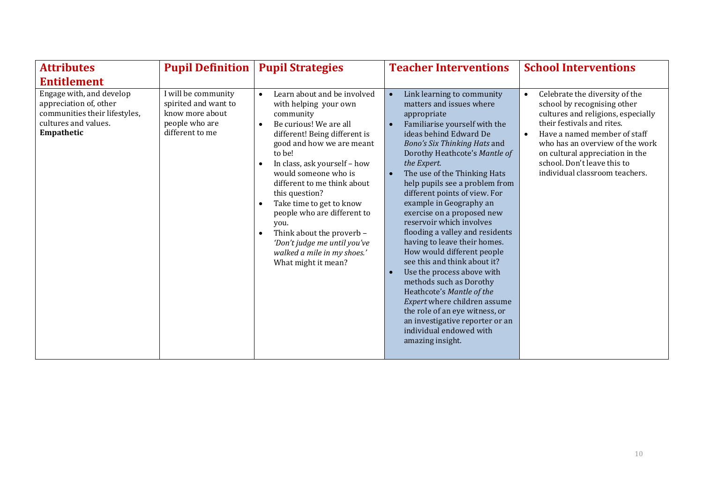| <b>Attributes</b>                                                                                                         | <b>Pupil Definition</b>                                                                             | <b>Pupil Strategies</b>                                                                                                                                                                                                                                                                                                                                                                                                                                                                                                             | <b>Teacher Interventions</b>                                                                                                                                                                                                                                                                                                                                                                                                                                                                                                                                                                                                                                                                                                                                                        | <b>School Interventions</b>                                                                                                                                                                                                                                                                                           |
|---------------------------------------------------------------------------------------------------------------------------|-----------------------------------------------------------------------------------------------------|-------------------------------------------------------------------------------------------------------------------------------------------------------------------------------------------------------------------------------------------------------------------------------------------------------------------------------------------------------------------------------------------------------------------------------------------------------------------------------------------------------------------------------------|-------------------------------------------------------------------------------------------------------------------------------------------------------------------------------------------------------------------------------------------------------------------------------------------------------------------------------------------------------------------------------------------------------------------------------------------------------------------------------------------------------------------------------------------------------------------------------------------------------------------------------------------------------------------------------------------------------------------------------------------------------------------------------------|-----------------------------------------------------------------------------------------------------------------------------------------------------------------------------------------------------------------------------------------------------------------------------------------------------------------------|
| <b>Entitlement</b>                                                                                                        |                                                                                                     |                                                                                                                                                                                                                                                                                                                                                                                                                                                                                                                                     |                                                                                                                                                                                                                                                                                                                                                                                                                                                                                                                                                                                                                                                                                                                                                                                     |                                                                                                                                                                                                                                                                                                                       |
| Engage with, and develop<br>appreciation of, other<br>communities their lifestyles,<br>cultures and values.<br>Empathetic | I will be community<br>spirited and want to<br>know more about<br>people who are<br>different to me | Learn about and be involved<br>$\bullet$<br>with helping your own<br>community<br>Be curious! We are all<br>$\bullet$<br>different! Being different is<br>good and how we are meant<br>to be!<br>In class, ask yourself - how<br>$\bullet$<br>would someone who is<br>different to me think about<br>this question?<br>Take time to get to know<br>$\bullet$<br>people who are different to<br>you.<br>Think about the proverb -<br>$\bullet$<br>'Don't judge me until you've<br>walked a mile in my shoes.'<br>What might it mean? | Link learning to community<br>matters and issues where<br>appropriate<br>Familiarise yourself with the<br>ideas behind Edward De<br>Bono's Six Thinking Hats and<br>Dorothy Heathcote's Mantle of<br>the Expert.<br>The use of the Thinking Hats<br>help pupils see a problem from<br>different points of view. For<br>example in Geography an<br>exercise on a proposed new<br>reservoir which involves<br>flooding a valley and residents<br>having to leave their homes.<br>How would different people<br>see this and think about it?<br>Use the process above with<br>methods such as Dorothy<br>Heathcote's Mantle of the<br>Expert where children assume<br>the role of an eye witness, or<br>an investigative reporter or an<br>individual endowed with<br>amazing insight. | Celebrate the diversity of the<br>school by recognising other<br>cultures and religions, especially<br>their festivals and rites.<br>Have a named member of staff<br>$\bullet$<br>who has an overview of the work<br>on cultural appreciation in the<br>school. Don't leave this to<br>individual classroom teachers. |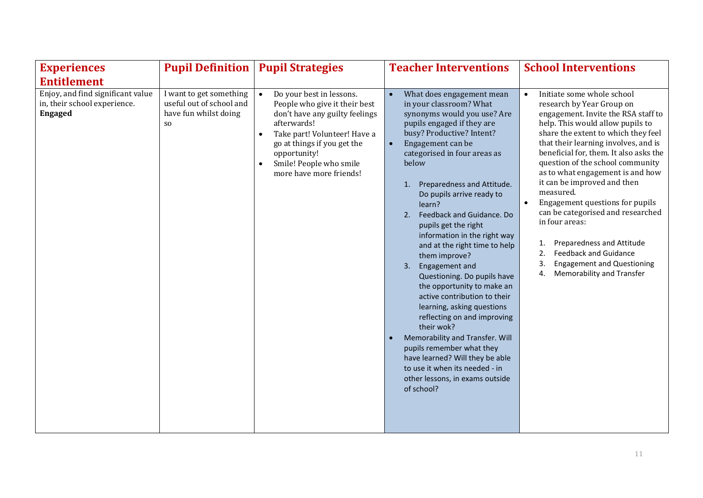| <b>Experiences</b>                                                                  | <b>Pupil Definition</b>                                                             | <b>Pupil Strategies</b>                                                                                                                                                                                                                                                   | <b>Teacher Interventions</b>                                                                                                                                                                                                                                                                                                                                                                                                                                                                                                                                                                                                                                                                                                                                                                                                            | <b>School Interventions</b>                                                                                                                                                                                                                                                                                                                                                                                                                                                                                                                                                                                                                   |
|-------------------------------------------------------------------------------------|-------------------------------------------------------------------------------------|---------------------------------------------------------------------------------------------------------------------------------------------------------------------------------------------------------------------------------------------------------------------------|-----------------------------------------------------------------------------------------------------------------------------------------------------------------------------------------------------------------------------------------------------------------------------------------------------------------------------------------------------------------------------------------------------------------------------------------------------------------------------------------------------------------------------------------------------------------------------------------------------------------------------------------------------------------------------------------------------------------------------------------------------------------------------------------------------------------------------------------|-----------------------------------------------------------------------------------------------------------------------------------------------------------------------------------------------------------------------------------------------------------------------------------------------------------------------------------------------------------------------------------------------------------------------------------------------------------------------------------------------------------------------------------------------------------------------------------------------------------------------------------------------|
| <b>Entitlement</b>                                                                  |                                                                                     |                                                                                                                                                                                                                                                                           |                                                                                                                                                                                                                                                                                                                                                                                                                                                                                                                                                                                                                                                                                                                                                                                                                                         |                                                                                                                                                                                                                                                                                                                                                                                                                                                                                                                                                                                                                                               |
| Enjoy, and find significant value<br>in, their school experience.<br><b>Engaged</b> | I want to get something<br>useful out of school and<br>have fun whilst doing<br>SO. | Do your best in lessons.<br>$\bullet$<br>People who give it their best<br>don't have any guilty feelings<br>afterwards!<br>Take part! Volunteer! Have a<br>$\bullet$<br>go at things if you get the<br>opportunity!<br>Smile! People who smile<br>more have more friends! | What does engagement mean<br>in your classroom? What<br>synonyms would you use? Are<br>pupils engaged if they are<br>busy? Productive? Intent?<br>Engagement can be<br>$\bullet$<br>categorised in four areas as<br>below<br>Preparedness and Attitude.<br>1.<br>Do pupils arrive ready to<br>learn?<br>Feedback and Guidance. Do<br>2.<br>pupils get the right<br>information in the right way<br>and at the right time to help<br>them improve?<br>Engagement and<br>3.<br>Questioning. Do pupils have<br>the opportunity to make an<br>active contribution to their<br>learning, asking questions<br>reflecting on and improving<br>their wok?<br>Memorability and Transfer. Will<br>pupils remember what they<br>have learned? Will they be able<br>to use it when its needed - in<br>other lessons, in exams outside<br>of school? | Initiate some whole school<br>$\bullet$<br>research by Year Group on<br>engagement. Invite the RSA staff to<br>help. This would allow pupils to<br>share the extent to which they feel<br>that their learning involves, and is<br>beneficial for, them. It also asks the<br>question of the school community<br>as to what engagement is and how<br>it can be improved and then<br>measured.<br>Engagement questions for pupils<br>can be categorised and researched<br>in four areas:<br>Preparedness and Attitude<br>1.<br>2.<br><b>Feedback and Guidance</b><br>3.<br><b>Engagement and Questioning</b><br>Memorability and Transfer<br>4. |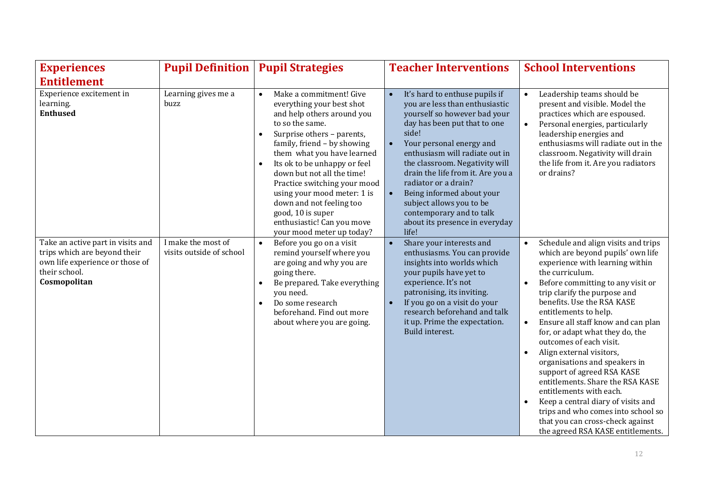| <b>Experiences</b>                                                                                                                    | <b>Pupil Definition</b>                        | <b>Pupil Strategies</b>                                                                                                                                                                                                                                                                                                                                                                                                                                                          | <b>Teacher Interventions</b>                                                                                                                                                                                                                                                                                                                                                                                                                                                  | <b>School Interventions</b>                                                                                                                                                                                                                                                                                                                                                                                                                                                                                                                                                                                                                                                                                          |
|---------------------------------------------------------------------------------------------------------------------------------------|------------------------------------------------|----------------------------------------------------------------------------------------------------------------------------------------------------------------------------------------------------------------------------------------------------------------------------------------------------------------------------------------------------------------------------------------------------------------------------------------------------------------------------------|-------------------------------------------------------------------------------------------------------------------------------------------------------------------------------------------------------------------------------------------------------------------------------------------------------------------------------------------------------------------------------------------------------------------------------------------------------------------------------|----------------------------------------------------------------------------------------------------------------------------------------------------------------------------------------------------------------------------------------------------------------------------------------------------------------------------------------------------------------------------------------------------------------------------------------------------------------------------------------------------------------------------------------------------------------------------------------------------------------------------------------------------------------------------------------------------------------------|
| <b>Entitlement</b>                                                                                                                    |                                                |                                                                                                                                                                                                                                                                                                                                                                                                                                                                                  |                                                                                                                                                                                                                                                                                                                                                                                                                                                                               |                                                                                                                                                                                                                                                                                                                                                                                                                                                                                                                                                                                                                                                                                                                      |
| Experience excitement in<br>learning.<br><b>Enthused</b>                                                                              | Learning gives me a<br>buzz                    | Make a commitment! Give<br>$\bullet$<br>everything your best shot<br>and help others around you<br>to so the same.<br>Surprise others - parents,<br>$\bullet$<br>family, friend - by showing<br>them what you have learned<br>Its ok to be unhappy or feel<br>$\bullet$<br>down but not all the time!<br>Practice switching your mood<br>using your mood meter: 1 is<br>down and not feeling too<br>good, 10 is super<br>enthusiastic! Can you move<br>your mood meter up today? | It's hard to enthuse pupils if<br>$\bullet$<br>you are less than enthusiastic<br>yourself so however bad your<br>day has been put that to one<br>side!<br>Your personal energy and<br>$\bullet$<br>enthusiasm will radiate out in<br>the classroom. Negativity will<br>drain the life from it. Are you a<br>radiator or a drain?<br>Being informed about your<br>$\bullet$<br>subject allows you to be<br>contemporary and to talk<br>about its presence in everyday<br>life! | Leadership teams should be<br>$\bullet$<br>present and visible. Model the<br>practices which are espoused.<br>Personal energies, particularly<br>$\bullet$<br>leadership energies and<br>enthusiasms will radiate out in the<br>classroom. Negativity will drain<br>the life from it. Are you radiators<br>or drains?                                                                                                                                                                                                                                                                                                                                                                                                |
| Take an active part in visits and<br>trips which are beyond their<br>own life experience or those of<br>their school.<br>Cosmopolitan | I make the most of<br>visits outside of school | Before you go on a visit<br>$\bullet$<br>remind yourself where you<br>are going and why you are<br>going there.<br>Be prepared. Take everything<br>$\bullet$<br>you need.<br>Do some research<br>$\bullet$<br>beforehand. Find out more<br>about where you are going.                                                                                                                                                                                                            | Share your interests and<br>$\bullet$<br>enthusiasms. You can provide<br>insights into worlds which<br>your pupils have yet to<br>experience. It's not<br>patronising, its inviting.<br>If you go on a visit do your<br>$\bullet$<br>research beforehand and talk<br>it up. Prime the expectation.<br>Build interest.                                                                                                                                                         | Schedule and align visits and trips<br>$\bullet$<br>which are beyond pupils' own life<br>experience with learning within<br>the curriculum.<br>Before committing to any visit or<br>$\bullet$<br>trip clarify the purpose and<br>benefits. Use the RSA KASE<br>entitlements to help.<br>Ensure all staff know and can plan<br>$\bullet$<br>for, or adapt what they do, the<br>outcomes of each visit.<br>Align external visitors,<br>organisations and speakers in<br>support of agreed RSA KASE<br>entitlements. Share the RSA KASE<br>entitlements with each.<br>Keep a central diary of visits and<br>trips and who comes into school so<br>that you can cross-check against<br>the agreed RSA KASE entitlements. |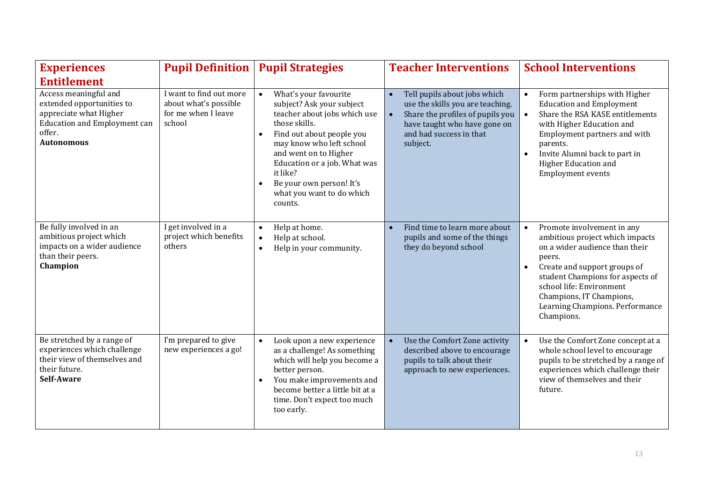| <b>Experiences</b>                                                                                                                                 | <b>Pupil Definition</b>                                                           | <b>Pupil Strategies</b>                                                                                                                                                                                                                                                                                                         | <b>Teacher Interventions</b>                                                                                                                                                             | <b>School Interventions</b>                                                                                                                                                                                                                                                            |
|----------------------------------------------------------------------------------------------------------------------------------------------------|-----------------------------------------------------------------------------------|---------------------------------------------------------------------------------------------------------------------------------------------------------------------------------------------------------------------------------------------------------------------------------------------------------------------------------|------------------------------------------------------------------------------------------------------------------------------------------------------------------------------------------|----------------------------------------------------------------------------------------------------------------------------------------------------------------------------------------------------------------------------------------------------------------------------------------|
| <b>Entitlement</b>                                                                                                                                 |                                                                                   |                                                                                                                                                                                                                                                                                                                                 |                                                                                                                                                                                          |                                                                                                                                                                                                                                                                                        |
| Access meaningful and<br>extended opportunities to<br>appreciate what Higher<br><b>Education and Employment can</b><br>offer.<br><b>Autonomous</b> | I want to find out more<br>about what's possible<br>for me when I leave<br>school | What's your favourite<br>subject? Ask your subject<br>teacher about jobs which use<br>those skills.<br>Find out about people you<br>$\bullet$<br>may know who left school<br>and went on to Higher<br>Education or a job. What was<br>it like?<br>Be your own person! It's<br>$\bullet$<br>what you want to do which<br>counts. | Tell pupils about jobs which<br>$\bullet$<br>use the skills you are teaching.<br>Share the profiles of pupils you<br>have taught who have gone on<br>and had success in that<br>subject. | Form partnerships with Higher<br><b>Education and Employment</b><br>Share the RSA KASE entitlements<br>with Higher Education and<br>Employment partners and with<br>parents.<br>Invite Alumni back to part in<br>Higher Education and<br>Employment events                             |
| Be fully involved in an<br>ambitious project which<br>impacts on a wider audience<br>than their peers.<br>Champion                                 | I get involved in a<br>project which benefits<br>others                           | Help at home.<br>$\bullet$<br>Help at school.<br>$\bullet$<br>Help in your community.<br>$\bullet$                                                                                                                                                                                                                              | Find time to learn more about<br>pupils and some of the things<br>they do beyond school                                                                                                  | Promote involvement in any<br>ambitious project which impacts<br>on a wider audience than their<br>peers.<br>Create and support groups of<br>student Champions for aspects of<br>school life: Environment<br>Champions, IT Champions,<br>Learning Champions. Performance<br>Champions. |
| Be stretched by a range of<br>experiences which challenge<br>their view of themselves and<br>their future.<br>Self-Aware                           | I'm prepared to give<br>new experiences a go!                                     | Look upon a new experience<br>$\bullet$<br>as a challenge! As something<br>which will help you become a<br>better person.<br>You make improvements and<br>$\bullet$<br>become better a little bit at a<br>time. Don't expect too much<br>too early.                                                                             | Use the Comfort Zone activity<br>described above to encourage<br>pupils to talk about their<br>approach to new experiences.                                                              | Use the Comfort Zone concept at a<br>whole school level to encourage<br>pupils to be stretched by a range of<br>experiences which challenge their<br>view of themselves and their<br>future.                                                                                           |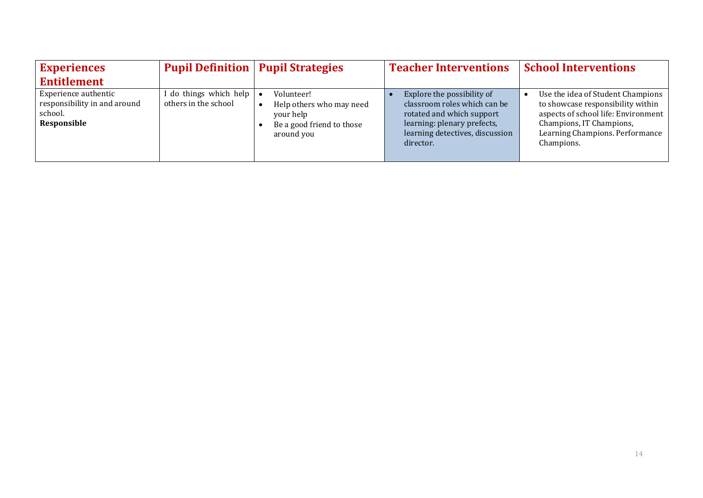| <b>Experiences</b>                                                             |                                                  | <b>Pupil Definition   Pupil Strategies</b>                                                     | <b>Teacher Interventions</b>                                                                                                                                           | <b>School Interventions</b>                                                                                                                                                                |
|--------------------------------------------------------------------------------|--------------------------------------------------|------------------------------------------------------------------------------------------------|------------------------------------------------------------------------------------------------------------------------------------------------------------------------|--------------------------------------------------------------------------------------------------------------------------------------------------------------------------------------------|
| <b>Entitlement</b>                                                             |                                                  |                                                                                                |                                                                                                                                                                        |                                                                                                                                                                                            |
| Experience authentic<br>responsibility in and around<br>school.<br>Responsible | do things which help   •<br>others in the school | Volunteer!<br>Help others who may need<br>your help<br>Be a good friend to those<br>around you | Explore the possibility of<br>classroom roles which can be<br>rotated and which support<br>learning: plenary prefects,<br>learning detectives, discussion<br>director. | Use the idea of Student Champions<br>to showcase responsibility within<br>aspects of school life: Environment<br>Champions, IT Champions,<br>Learning Champions. Performance<br>Champions. |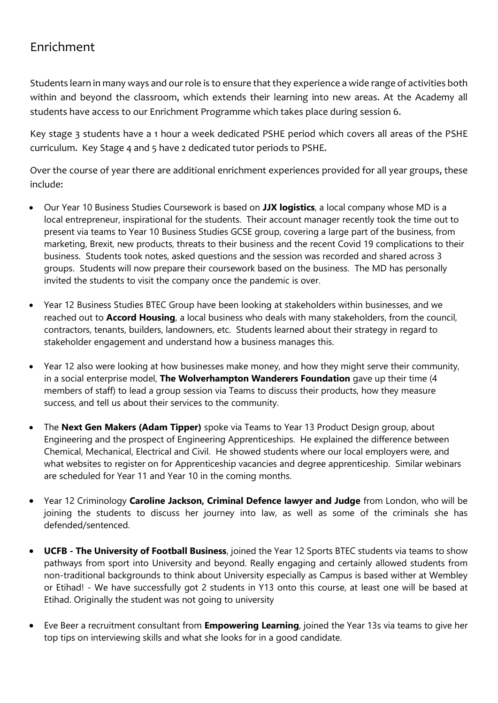### Enrichment

Students learn in many ways and our role is to ensure that they experience a wide range of activities both within and beyond the classroom, which extends their learning into new areas. At the Academy all students have access to our Enrichment Programme which takes place during session 6.

Key stage 3 students have a 1 hour a week dedicated PSHE period which covers all areas of the PSHE curriculum. Key Stage 4 and 5 have 2 dedicated tutor periods to PSHE.

Over the course of year there are additional enrichment experiences provided for all year groups, these include:

- Our Year 10 Business Studies Coursework is based on **JJX logistics**, a local company whose MD is a local entrepreneur, inspirational for the students. Their account manager recently took the time out to present via teams to Year 10 Business Studies GCSE group, covering a large part of the business, from marketing, Brexit, new products, threats to their business and the recent Covid 19 complications to their business. Students took notes, asked questions and the session was recorded and shared across 3 groups. Students will now prepare their coursework based on the business. The MD has personally invited the students to visit the company once the pandemic is over.
- Year 12 Business Studies BTEC Group have been looking at stakeholders within businesses, and we reached out to **Accord Housing**, a local business who deals with many stakeholders, from the council, contractors, tenants, builders, landowners, etc. Students learned about their strategy in regard to stakeholder engagement and understand how a business manages this.
- Year 12 also were looking at how businesses make money, and how they might serve their community, in a social enterprise model, **The Wolverhampton Wanderers Foundation** gave up their time (4 members of staff) to lead a group session via Teams to discuss their products, how they measure success, and tell us about their services to the community.
- The **Next Gen Makers (Adam Tipper)** spoke via Teams to Year 13 Product Design group, about Engineering and the prospect of Engineering Apprenticeships. He explained the difference between Chemical, Mechanical, Electrical and Civil. He showed students where our local employers were, and what websites to register on for Apprenticeship vacancies and degree apprenticeship. Similar webinars are scheduled for Year 11 and Year 10 in the coming months.
- Year 12 Criminology **Caroline Jackson, Criminal Defence lawyer and Judge** from London, who will be joining the students to discuss her journey into law, as well as some of the criminals she has defended/sentenced.
- **UCFB - The University of Football Business**, joined the Year 12 Sports BTEC students via teams to show pathways from sport into University and beyond. Really engaging and certainly allowed students from non-traditional backgrounds to think about University especially as Campus is based wither at Wembley or Etihad! - We have successfully got 2 students in Y13 onto this course, at least one will be based at Etihad. Originally the student was not going to university
- Eve Beer a recruitment consultant from **Empowering Learning**, joined the Year 13s via teams to give her top tips on interviewing skills and what she looks for in a good candidate.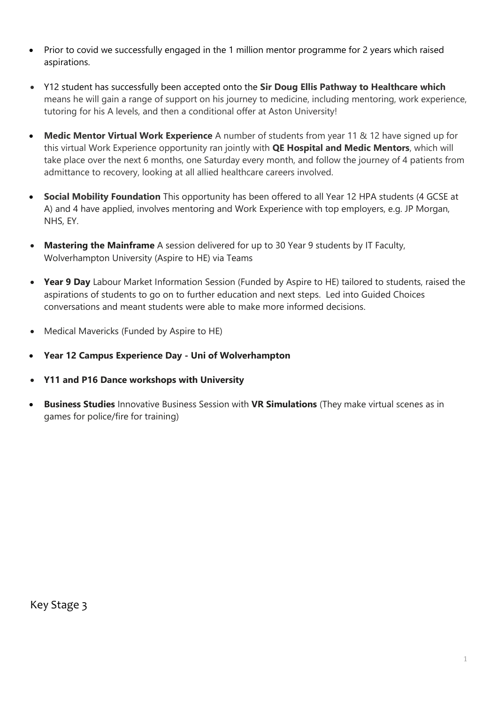- Prior to covid we successfully engaged in the 1 million mentor programme for 2 years which raised aspirations.
- Y12 student has successfully been accepted onto the **Sir Doug Ellis Pathway to Healthcare which** means he will gain a range of support on his journey to medicine, including mentoring, work experience, tutoring for his A levels, and then a conditional offer at Aston University!
- **Medic Mentor Virtual Work Experience** A number of students from year 11 & 12 have signed up for this virtual Work Experience opportunity ran jointly with **QE Hospital and Medic Mentors**, which will take place over the next 6 months, one Saturday every month, and follow the journey of 4 patients from admittance to recovery, looking at all allied healthcare careers involved.
- **Social Mobility Foundation** This opportunity has been offered to all Year 12 HPA students (4 GCSE at A) and 4 have applied, involves mentoring and Work Experience with top employers, e.g. JP Morgan, NHS, EY.
- **Mastering the Mainframe** A session delivered for up to 30 Year 9 students by IT Faculty, Wolverhampton University (Aspire to HE) via Teams
- **Year 9 Day** Labour Market Information Session (Funded by Aspire to HE) tailored to students, raised the aspirations of students to go on to further education and next steps. Led into Guided Choices conversations and meant students were able to make more informed decisions.
- Medical Mavericks (Funded by Aspire to HE)
- **Year 12 Campus Experience Day - Uni of Wolverhampton**
- **Y11 and P16 Dance workshops with University**
- **Business Studies** Innovative Business Session with **VR Simulations** (They make virtual scenes as in games for police/fire for training)

Key Stage 3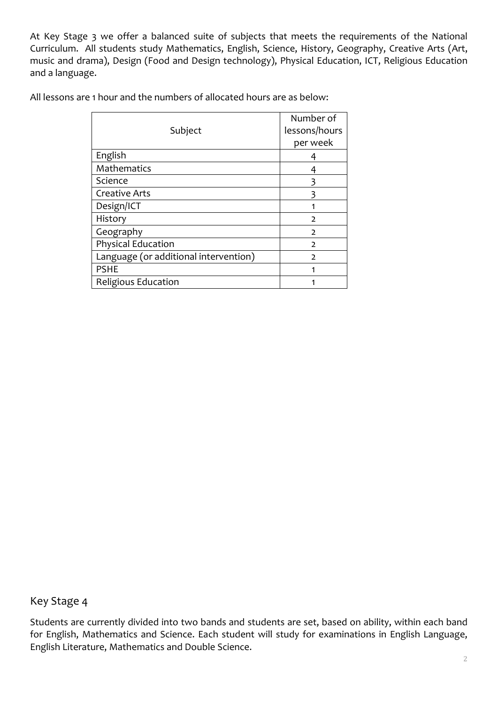At Key Stage 3 we offer a balanced suite of subjects that meets the requirements of the National Curriculum. All students study Mathematics, English, Science, History, Geography, Creative Arts (Art, music and drama), Design (Food and Design technology), Physical Education, ICT, Religious Education and a language.

All lessons are 1 hour and the numbers of allocated hours are as below:

|                                       | Number of     |
|---------------------------------------|---------------|
| Subject                               | lessons/hours |
|                                       | per week      |
| English                               |               |
| Mathematics                           |               |
| Science                               |               |
| <b>Creative Arts</b>                  |               |
| Design/ICT                            |               |
| History                               | $\mathcal{P}$ |
| Geography                             | $\mathcal{D}$ |
| Physical Education                    | $\mathcal{L}$ |
| Language (or additional intervention) | $\mathcal{P}$ |
| <b>PSHE</b>                           |               |
| Religious Education                   |               |

Key Stage 4

Students are currently divided into two bands and students are set, based on ability, within each band for English, Mathematics and Science. Each student will study for examinations in English Language, English Literature, Mathematics and Double Science.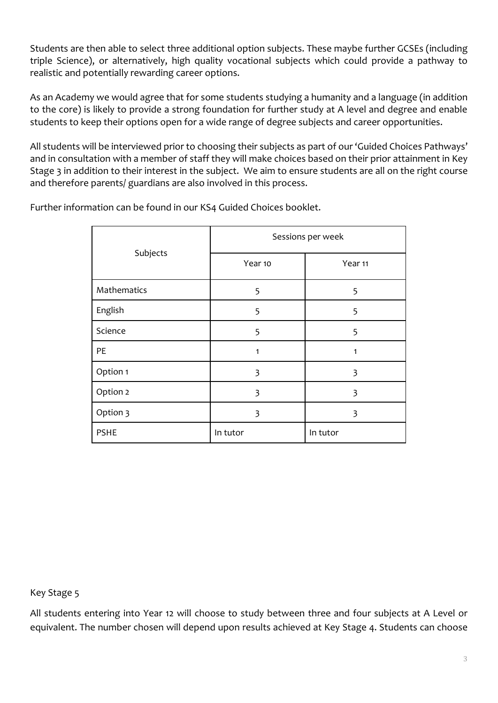Students are then able to select three additional option subjects. These maybe further GCSEs (including triple Science), or alternatively, high quality vocational subjects which could provide a pathway to realistic and potentially rewarding career options.

As an Academy we would agree that for some students studying a humanity and a language (in addition to the core) is likely to provide a strong foundation for further study at A level and degree and enable students to keep their options open for a wide range of degree subjects and career opportunities.

All students will be interviewed prior to choosing their subjects as part of our 'Guided Choices Pathways' and in consultation with a member of staff they will make choices based on their prior attainment in Key Stage 3 in addition to their interest in the subject. We aim to ensure students are all on the right course and therefore parents/ guardians are also involved in this process.

Further information can be found in our KS4 Guided Choices booklet.

|             | Sessions per week |          |  |
|-------------|-------------------|----------|--|
| Subjects    | Year 10           | Year 11  |  |
| Mathematics | 5                 | 5        |  |
| English     | 5                 | 5        |  |
| Science     | 5                 | 5        |  |
| PE          | $\mathbf{1}$      | 1        |  |
| Option 1    | 3                 | 3        |  |
| Option 2    | 3                 | 3        |  |
| Option 3    | 3                 | 3        |  |
| <b>PSHE</b> | In tutor          | In tutor |  |

Key Stage 5

All students entering into Year 12 will choose to study between three and four subjects at A Level or equivalent. The number chosen will depend upon results achieved at Key Stage 4. Students can choose